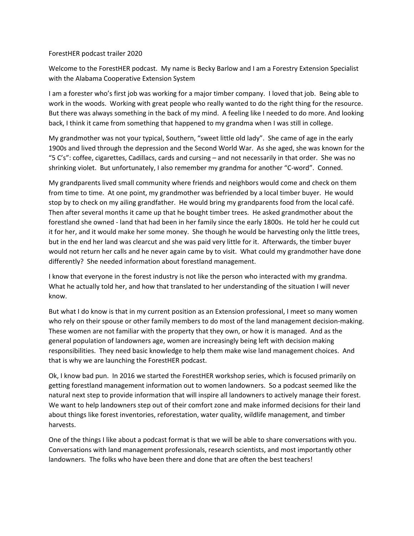## ForestHER podcast trailer 2020

Welcome to the ForestHER podcast. My name is Becky Barlow and I am a Forestry Extension Specialist with the Alabama Cooperative Extension System

I am a forester who's first job was working for a major timber company. I loved that job. Being able to work in the woods. Working with great people who really wanted to do the right thing for the resource. But there was always something in the back of my mind. A feeling like I needed to do more. And looking back, I think it came from something that happened to my grandma when I was still in college.

My grandmother was not your typical, Southern, "sweet little old lady". She came of age in the early 1900s and lived through the depression and the Second World War. As she aged, she was known for the "5 C's": coffee, cigarettes, Cadillacs, cards and cursing – and not necessarily in that order. She was no shrinking violet. But unfortunately, I also remember my grandma for another "C-word". Conned.

My grandparents lived small community where friends and neighbors would come and check on them from time to time. At one point, my grandmother was befriended by a local timber buyer. He would stop by to check on my ailing grandfather. He would bring my grandparents food from the local café. Then after several months it came up that he bought timber trees. He asked grandmother about the forestland she owned - land that had been in her family since the early 1800s. He told her he could cut it for her, and it would make her some money. She though he would be harvesting only the little trees, but in the end her land was clearcut and she was paid very little for it. Afterwards, the timber buyer would not return her calls and he never again came by to visit. What could my grandmother have done differently? She needed information about forestland management.

I know that everyone in the forest industry is not like the person who interacted with my grandma. What he actually told her, and how that translated to her understanding of the situation I will never know.

But what I do know is that in my current position as an Extension professional, I meet so many women who rely on their spouse or other family members to do most of the land management decision-making. These women are not familiar with the property that they own, or how it is managed. And as the general population of landowners age, women are increasingly being left with decision making responsibilities. They need basic knowledge to help them make wise land management choices. And that is why we are launching the ForestHER podcast.

Ok, I know bad pun. In 2016 we started the ForestHER workshop series, which is focused primarily on getting forestland management information out to women landowners. So a podcast seemed like the natural next step to provide information that will inspire all landowners to actively manage their forest. We want to help landowners step out of their comfort zone and make informed decisions for their land about things like forest inventories, reforestation, water quality, wildlife management, and timber harvests.

One of the things I like about a podcast format is that we will be able to share conversations with you. Conversations with land management professionals, research scientists, and most importantly other landowners. The folks who have been there and done that are often the best teachers!